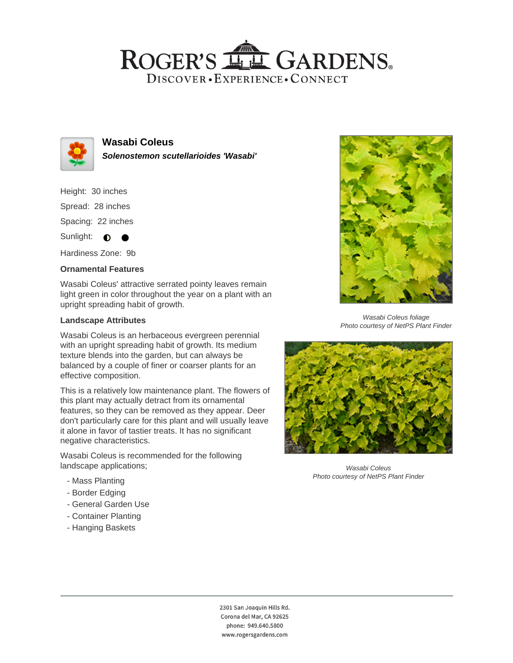## ROGER'S LL GARDENS. DISCOVER · EXPERIENCE · CONNECT



**Wasabi Coleus Solenostemon scutellarioides 'Wasabi'**

Height: 30 inches Spread: 28 inches

Spacing: 22 inches

Sunlight:  $\bullet$ 

Hardiness Zone: 9b

## **Ornamental Features**

Wasabi Coleus' attractive serrated pointy leaves remain light green in color throughout the year on a plant with an upright spreading habit of growth.

#### **Landscape Attributes**

Wasabi Coleus is an herbaceous evergreen perennial with an upright spreading habit of growth. Its medium texture blends into the garden, but can always be balanced by a couple of finer or coarser plants for an effective composition.

This is a relatively low maintenance plant. The flowers of this plant may actually detract from its ornamental features, so they can be removed as they appear. Deer don't particularly care for this plant and will usually leave it alone in favor of tastier treats. It has no significant negative characteristics.

Wasabi Coleus is recommended for the following landscape applications;

- Mass Planting
- Border Edging
- General Garden Use
- Container Planting
- Hanging Baskets



Wasabi Coleus foliage Photo courtesy of NetPS Plant Finder



Wasabi Coleus Photo courtesy of NetPS Plant Finder

2301 San Joaquin Hills Rd. Corona del Mar, CA 92625 phone: 949.640.5800 www.rogersgardens.com